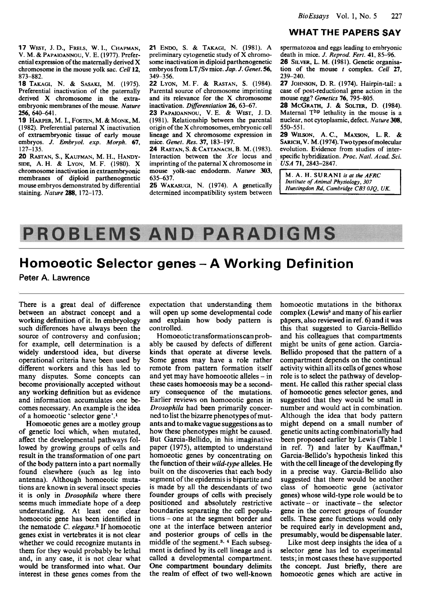### **WHAT THE PAPERS SAY**

**17** WEST, J. D., FRELS, W. I., CHAPMAN, **V.** M. & PAPAIOANNOU, V. E. **(1977).** Preferential expression of the maternally derived X chromosome in the mouse yolk sac. *Cell* **12, 873-882.** 

**18** TAKAGI, N. & SASAKI, M. **(1975).**  Preferential inactivation of the paternally derived X chromosome in the extraembryonic membranes of the mouse. *Nature*  **256,640-641.** 

**19** HARPER, M.I., **FOSTEN,** M. & MONK, M. **(1 982).** Preferential paternal **X** inactivation of extraembryonic tissue of early mouse embryos. *J. Embryol. exp. Morph.* **67, 127-135.** 

**20** RASTAN, **S.,** KAUFMAN, M. H., HANDY-SIDE, A.H. & LYON, M. F. **(1980).** X chromosome inactivation in extraembryonic membranes of diploid parthenogenetic mouse embryos demonstrated by differential staining. *Nature* **288, 172-173.** 

**21** ENW, **S.** & TAKAGI, N. **(1981).** A preliminary cytogenetic study of X chromosome inactivation in diploid parthenogenetic embryos from **LT/Sv** mice. *Jap. J. Genet.* **56, 349-3 56.** 

**22** LYON, M. F. & RASTAN, **S. (1984).**  Parental source of chromosome imprinting and its relevance for the *X* chromosome inactivation. *Differentiation* **26, 63-67.** 

**23** PAPAIOANNOU, **V.** E. & WEST, J. D. **(1981).** Relationship between the parental origin of the X chromosomes, embryonic cell lineage and **X** chromosome expression in mice. *Genet. Res. 37,* 183-197.

**24** RASTAN, **S.** & CATTANACH, B. M. **(1983).**  Interaction between the *Xce* locus and , imprinting of the paternal X chromosome in mouse yolk-sac endoderm. *Nature 303,*  **635-637.** 

**25** WAKASUGI, N. **(1974).** A genetically determined incompatibility system between

spermatozoa and eggs leading to embryonic death in mice. *J. Reprod. Fert.* **41, 85-96. 26** SILVER, L. **M. (1981).** Genetic organisation of the mouse *t* complex. *Cell* **27, 239-240.** 

*27* JOHNSON, D. R. **(1974).** Hairpin-tail: a case of post-reductional gene action in the mouse egg? *Genetics* **76**, **795**–805.

*28* MCGRATH, J. & **SOLTER,** D. **(1984).**  Maternal Thp lethality in the mouse is a nuclear, not cytoplasmic, defect. *Nature* **308, 550-551.** 

**29** WILSON, **A.C.,** MAXSON, L. **R.** & SARICH, V. M. (1974). Two types of molecular evolution. Evidence from studies of interspecific hybridization. *Proc. Natl. Acad. Sci. USA* **71,2843-2847.** 

**Institute of Animal Physiology, 307**<br>*Institute of Animal Physiology, 307*<br>*Huntingdon Rd, Cambridge CB3 0JO, UK.* 

# **PROBLEMS AND PARADIGMS**

# **Homoeotic Selector genes** - **A Working Definition**

**Peter A. Lawrence** 

There is a great deal of difference between an abstract concept and a working definition of it. **In** embryology such differences have always been the source of controversy and confusion; for example, cell determination is a widely understood idea, but diverse operational criteria have been used by different workers and this has led to many disputes. Some concepts can become provisionally accepted without any working definition but as evidence and information accumulates one becomes necessary. An example is the idea of a homoeotic 'selector gene'.'

Homoeotic genes are a motley group of genetic loci which, when mutated, affect the developmental pathways followed by growing groups of cells and result in the transformation of one part of the body pattern into a part normally found elsewhere (such as leg into antenna). Although homoeotic mutations are known in several insect species it is only in *Drosophila* where there seems much immediate hope **OF** a deep understanding. At least one clear homoeotic gene has been identified in the nematode C. *elegam2* If homoeotic genes exist in vertebrates it is not clear whether we could recognize mutants in them for they would probably be lethal and, in any case, it is not clear what would be transformed into what. Our interest in these genes comes From the expectation that understanding them will open up some developmental code and explain how body pattern is controlled.

Homoeotic transformationscan probably be caused by defects of different kinds that operate at diverse levels. Some genes may have a role rather remote from pattern formation itself and yet may have homoeotic alleles - in these cases homoeosis may be a secondary consequence of the mutations. Earlier reviews on homoeotic genes in *Drosophila* had been primarily concerned to list the bizarre phenotypes of mutants and to make vague suggestions **as** to how these phenotypes might be caused. But Garcia-Bellido, in his imaginative paper (1975), attempted to understand homoeotic genes by concentrating on the function of their *wild-type* alleles. He built on the discoveries that each body segment of the epidermis is bipartite and is made by all the descendants of two Founder groups of cells with precisely positioned and absolutely restrictive boundaries separating the cell populations - one at the segment border and one at the interface between anterior and posterior groups of cells in the middle of the segment.<sup>3, 4</sup> Each subsegment is defined by its cell lineage and is called a developmental compartment. One compartment boundary delimits the realm of effect of two well-known

homoeotic mutations in the bithorax complex (Lewis<sup>5</sup> and many of his earlier papers, also reviewed in ref. 6) and it was this that suggested to Garcia-Bellido and his colleagues that compartments might be units of gene action. Garcia-Bellido proposed that the pattern of a compartment depends on the continual activity within all its cells of genes whose role is to select the pathway of development. He called this rather special class of homoeotic genes selector genes, and suggested that they would be small in number and would act in combination. Although the idea that body pattern might depend on a small number of genetic units acting combinatorially had been proposed earlier by Lewis (Table 1 in ref.  $7$ ) and later by Kauffman,<sup>8</sup> Garcia-Bellido's hypothesis linked this with the cell lineage of the developing fly in a precise way. Garcia-Bellido also suggested that there would be another class of homoeotic gene (activator genes) whose wild-type role would be to  $\arctan(-\text{ or } \text{ inactive}-\text{ the } \text{ selector})$ gene in the correct groups of founder cells. These gene functions would only be required early in development and, presumably, would be dispensable later.

Like most deep insights the idea of a selector gene has led to experimental tests; in most cases these have supported the concept. Just briefly, there are homoeotic genes which are active in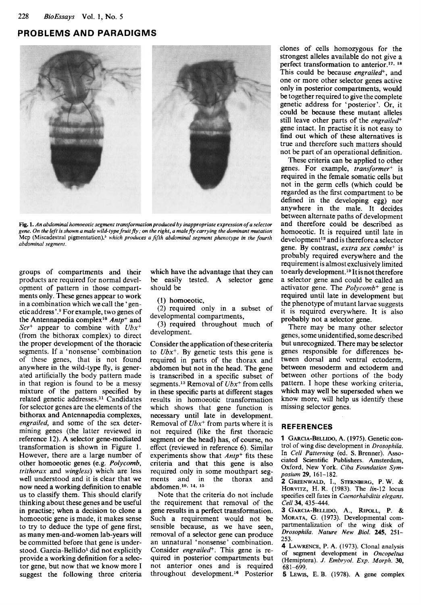## **PROBLEMS AND PARADIGMS**



**Fig. 1.** *An abdominal homoeotic segment transformation produced by inappropriate expression ofa selector gene. On the [eft is shown a male wild-type fruit fly; on the right, a malefly carrying the dominant mutation*  **Mcp (Miscadestral pigmentation),5** *which produces a fiirth abdominal segment phenotype in the fourth abdominal segment.* 

groups of compartments and their products are required for normal development of pattern in those compartments only. These genes appear to work in a combination which we call the 'genetic address'.<sup>9</sup> For example, two genes of the Antennapedia complex1o *Antp+* and *Scr+* appear to combine with *Ubx+*  (from the bithorax complex) to direct the proper development of the thoracic segments. If a 'nonsense' combination of these genes, that is not found anywhere in the wild-type fly, is generated artificially the body pattern made in that region is found to be a messy mixture of the pattern specified by related genetic addresses.<sup>11</sup> Candidates for selector genes are the elements of the bithorax and Antennapedia complexes, *engrailed,* and some of the sex determining genes (the latter reviewed in reference 12). **A** selector gene-mediated transformation is shown in Figure 1. However, there are a large number of other homoeotic genes (e.g. *Polycomb, trithorax* and *wingless)* which are less well understood and it is clear that we now need a working definition to enable us to classify them. This should clarify thinking about these genes and be useful in practise; when a decision to clone a homoeotic gene is made, it makes sense to try to deduce the type of gene first, as many men-and-women lab-years will be committed before that gene is understood. Garcia-Bellido<sup>1</sup> did not explicitly provide a working definition for a selector gene, but now that we know more I suggest the following three criteria which have the advantage that they can be easily tested. A selector gene should be

(I) homoeotic,

(2) required only in a subset of developmental compartments,

(3) required throughout much of development.

Consider the application of these criteria to *Ubx+.* By genetic tests this gene is required in parts of the thorax and abdomen but not in the head. The gene is transcribed in a specific subset of segments.13 Removal of *Ubx+* from cells in these specific parts at different stages results in homoeotic transformation which shows that gene function is necessary until late in development. Removal of *Ubx<sup>+</sup>* from parts where it is not required (like the first thoracic segment or the head) has, of course, no effect (reviewed in reference 6). Similar experiments show that *Amp+* fits these criteria and that this gene is also required only in some mouthpart segments and in the thorax and abdomen.<sup>10, 14, 15</sup>

Note that the criteria do not include the requirement that removal of the gene results in a perfect transformation. Such a requirement would not be sensible because, as we have seen, removal of a selector gene can produce an unnatural 'nonsense' combination. Consider *engrailed*<sup>+</sup>. This gene is required in posterior compartments but not anterior ones and is required throughout development.<sup>16</sup> Posterior

clones of cells homozygous for the strongest alleles available do not give **a**  perfect transformation to anterior.<sup>17, 18</sup> This could be because *engrailed+,* and one or more other selector genes active only in posterior compartments, would be together required to give the complete genetic address for 'posterior'. Or, it could be because these mutant alleles still leave other parts of the *engrailed+*  gene intact. In practise it is not easy to find out which of these alternatives is true and therefore such matters should not be part of an operational definition.

These criteria can be applied to other genes. For example, *transformer+* is required in the female somatic cells but not in the germ cells (which could be regarded as the first compartment to be defined in the developing egg) nor anywhere in the male. It decides between alternate paths of development and therefore could be described as homoeotic. It is required until late in development<sup>12</sup> and is therefore a selector gene. By contrast, *extra sex combs+* is probably required everywhere and the requirement is almost exclusively limited to early development.<sup>19</sup> It is not therefore a selector gene and could be called an activator gene. The *Polycomb+* gene is required until late in development but the phenotype of mutant larvae suggests it is required everywhere. It is also probably not a selector gene.

There may be many other selector genes, some unidentified, some described but unrecognized. There may be selector genes responsible for differences between dorsal and ventral ectoderm, between mesoderm and ectoderm and between other portions of the body pattern. **I** hope these working criteria, which may well be superseded when we know more, will help us identify these missing selector genes.

#### **REFER EN** *C* **ES**

**1 GARCIA-BELLIDO, A. (1975). Genetic con**trol **of wing disc development in** *Drosophila.*  **In** *Cell Patterning* **(ed. S. Brenner). Associated Scientific Publishers. Amsterdam, Oxford, New** York. *Ciba Foundation* Sym*posium 29, 161-182.* 

*2* GREENWALD, I., STERNBERG, P.W. & HORVITZ, H. R. *(1983).* **The** *Iin-12* **locus specifies cell fates in** *Caenorhabditis elegans. Cell* 34, **435444.** 

**3** GARCIA-BELLIW, **A.,** RIFQLL, P. & MORATA, G. **(1973). Developmental compartmentalization** of **the wing disk of**  *Drosophila. Nature New Biol. 245, 251- 253.* 

**4** LAWRENCE, P.**A.** *(1973).* **Clonal analysis of segment development in** *Oncopeltus*  **(Hemiptera).** *J. Embryol. Exp. Morph. 30, 681-699.* 

**5** LEWIS, E. **B. (1978). A gene complex**